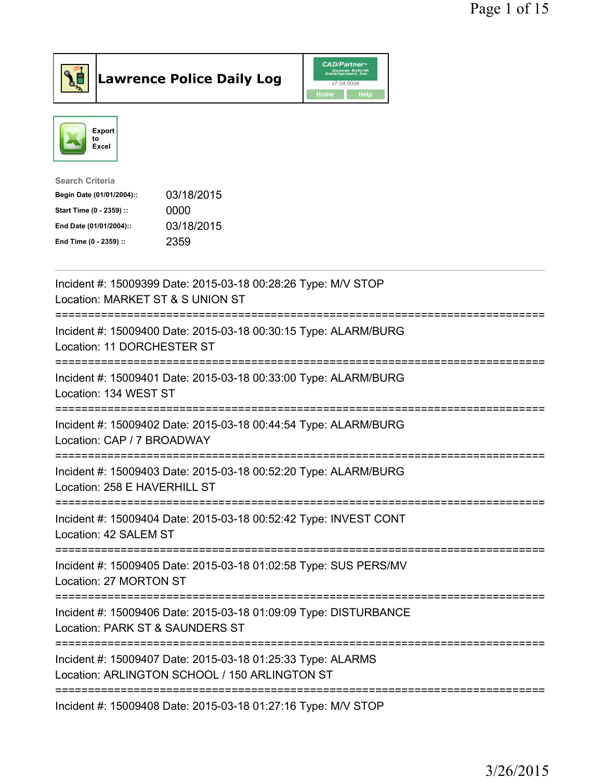



| <b>Search Criteria</b>    |            |
|---------------------------|------------|
| Begin Date (01/01/2004):: | 03/18/2015 |
| Start Time (0 - 2359) ::  | 0000       |
| End Date (01/01/2004)::   | 03/18/2015 |
| End Time (0 - 2359) ::    | 2359       |
|                           |            |

| Incident #: 15009399 Date: 2015-03-18 00:28:26 Type: M/V STOP<br>Location: MARKET ST & S UNION ST                                                  |
|----------------------------------------------------------------------------------------------------------------------------------------------------|
| Incident #: 15009400 Date: 2015-03-18 00:30:15 Type: ALARM/BURG<br>Location: 11 DORCHESTER ST<br>============<br>================================= |
| Incident #: 15009401 Date: 2015-03-18 00:33:00 Type: ALARM/BURG<br>Location: 134 WEST ST<br>;====================================                  |
| Incident #: 15009402 Date: 2015-03-18 00:44:54 Type: ALARM/BURG<br>Location: CAP / 7 BROADWAY<br>==============<br>:=====================          |
| Incident #: 15009403 Date: 2015-03-18 00:52:20 Type: ALARM/BURG<br>Location: 258 E HAVERHILL ST                                                    |
| Incident #: 15009404 Date: 2015-03-18 00:52:42 Type: INVEST CONT<br>Location: 42 SALEM ST                                                          |
| Incident #: 15009405 Date: 2015-03-18 01:02:58 Type: SUS PERS/MV<br>Location: 27 MORTON ST                                                         |
| Incident #: 15009406 Date: 2015-03-18 01:09:09 Type: DISTURBANCE<br>Location: PARK ST & SAUNDERS ST                                                |
| Incident #: 15009407 Date: 2015-03-18 01:25:33 Type: ALARMS<br>Location: ARLINGTON SCHOOL / 150 ARLINGTON ST                                       |
| Incident #: 15009408 Date: 2015-03-18 01:27:16 Type: M/V STOP                                                                                      |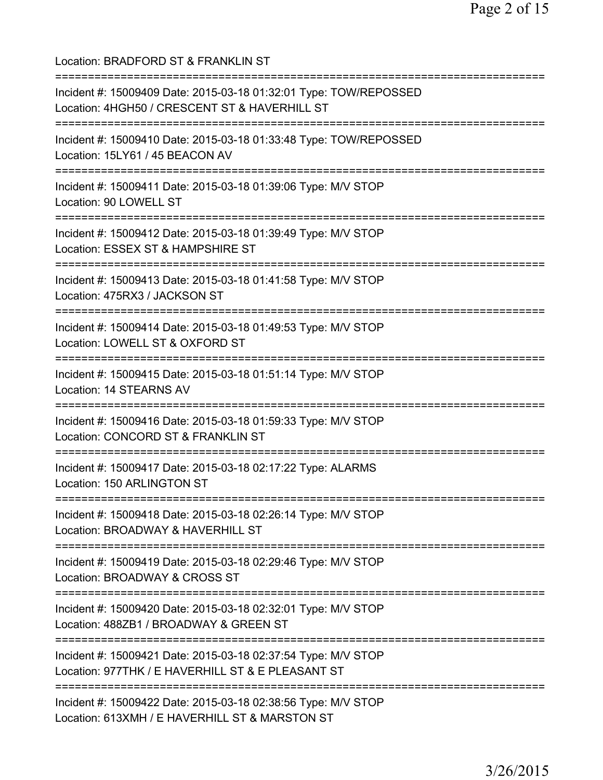Location: BRADFORD ST & FRANKLIN ST =========================================================================== Incident #: 15009409 Date: 2015-03-18 01:32:01 Type: TOW/REPOSSED Location: 4HGH50 / CRESCENT ST & HAVERHILL ST =========================================================================== Incident #: 15009410 Date: 2015-03-18 01:33:48 Type: TOW/REPOSSED Location: 15LY61 / 45 BEACON AV =========================================================================== Incident #: 15009411 Date: 2015-03-18 01:39:06 Type: M/V STOP Location: 90 LOWELL ST =========================================================================== Incident #: 15009412 Date: 2015-03-18 01:39:49 Type: M/V STOP Location: ESSEX ST & HAMPSHIRE ST =========================================================================== Incident #: 15009413 Date: 2015-03-18 01:41:58 Type: M/V STOP Location: 475RX3 / JACKSON ST =========================================================================== Incident #: 15009414 Date: 2015-03-18 01:49:53 Type: M/V STOP Location: LOWELL ST & OXFORD ST =========================================================================== Incident #: 15009415 Date: 2015-03-18 01:51:14 Type: M/V STOP Location: 14 STEARNS AV =========================================================================== Incident #: 15009416 Date: 2015-03-18 01:59:33 Type: M/V STOP Location: CONCORD ST & FRANKLIN ST =========================================================================== Incident #: 15009417 Date: 2015-03-18 02:17:22 Type: ALARMS Location: 150 ARLINGTON ST =========================================================================== Incident #: 15009418 Date: 2015-03-18 02:26:14 Type: M/V STOP Location: BROADWAY & HAVERHILL ST =========================================================================== Incident #: 15009419 Date: 2015-03-18 02:29:46 Type: M/V STOP Location: BROADWAY & CROSS ST =========================================================================== Incident #: 15009420 Date: 2015-03-18 02:32:01 Type: M/V STOP Location: 488ZB1 / BROADWAY & GREEN ST =========================================================================== Incident #: 15009421 Date: 2015-03-18 02:37:54 Type: M/V STOP Location: 977THK / E HAVERHILL ST & E PLEASANT ST =========================================================================== Incident #: 15009422 Date: 2015-03-18 02:38:56 Type: M/V STOP Location: 613XMH / E HAVERHILL ST & MARSTON ST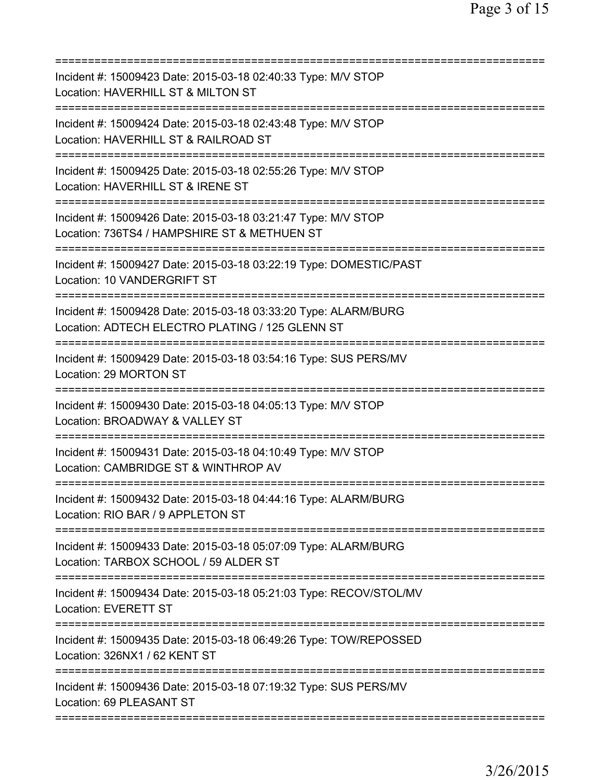| Incident #: 15009423 Date: 2015-03-18 02:40:33 Type: M/V STOP<br>Location: HAVERHILL ST & MILTON ST                            |
|--------------------------------------------------------------------------------------------------------------------------------|
| Incident #: 15009424 Date: 2015-03-18 02:43:48 Type: M/V STOP<br>Location: HAVERHILL ST & RAILROAD ST<br>===================== |
| Incident #: 15009425 Date: 2015-03-18 02:55:26 Type: M/V STOP<br>Location: HAVERHILL ST & IRENE ST                             |
| Incident #: 15009426 Date: 2015-03-18 03:21:47 Type: M/V STOP<br>Location: 736TS4 / HAMPSHIRE ST & METHUEN ST                  |
| Incident #: 15009427 Date: 2015-03-18 03:22:19 Type: DOMESTIC/PAST<br>Location: 10 VANDERGRIFT ST                              |
| Incident #: 15009428 Date: 2015-03-18 03:33:20 Type: ALARM/BURG<br>Location: ADTECH ELECTRO PLATING / 125 GLENN ST             |
| Incident #: 15009429 Date: 2015-03-18 03:54:16 Type: SUS PERS/MV<br>Location: 29 MORTON ST                                     |
| Incident #: 15009430 Date: 2015-03-18 04:05:13 Type: M/V STOP<br>Location: BROADWAY & VALLEY ST<br>========                    |
| Incident #: 15009431 Date: 2015-03-18 04:10:49 Type: M/V STOP<br>Location: CAMBRIDGE ST & WINTHROP AV                          |
| Incident #: 15009432 Date: 2015-03-18 04:44:16 Type: ALARM/BURG<br>Location: RIO BAR / 9 APPLETON ST                           |
| Incident #: 15009433 Date: 2015-03-18 05:07:09 Type: ALARM/BURG<br>Location: TARBOX SCHOOL / 59 ALDER ST                       |
| Incident #: 15009434 Date: 2015-03-18 05:21:03 Type: RECOV/STOL/MV<br><b>Location: EVERETT ST</b>                              |
| Incident #: 15009435 Date: 2015-03-18 06:49:26 Type: TOW/REPOSSED<br>Location: 326NX1 / 62 KENT ST                             |
| Incident #: 15009436 Date: 2015-03-18 07:19:32 Type: SUS PERS/MV<br>Location: 69 PLEASANT ST                                   |
|                                                                                                                                |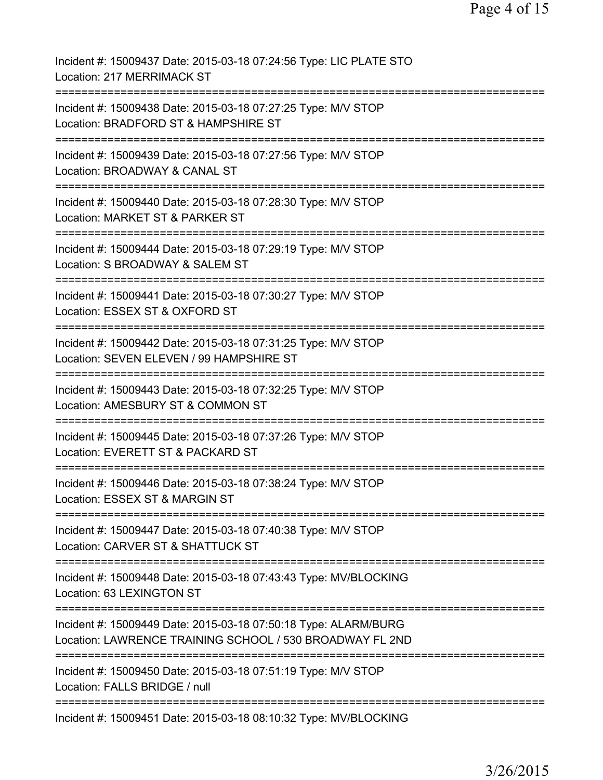| Incident #: 15009437 Date: 2015-03-18 07:24:56 Type: LIC PLATE STO<br>Location: 217 MERRIMACK ST                                           |
|--------------------------------------------------------------------------------------------------------------------------------------------|
| Incident #: 15009438 Date: 2015-03-18 07:27:25 Type: M/V STOP<br>Location: BRADFORD ST & HAMPSHIRE ST                                      |
| Incident #: 15009439 Date: 2015-03-18 07:27:56 Type: M/V STOP<br>Location: BROADWAY & CANAL ST                                             |
| Incident #: 15009440 Date: 2015-03-18 07:28:30 Type: M/V STOP<br>Location: MARKET ST & PARKER ST                                           |
| Incident #: 15009444 Date: 2015-03-18 07:29:19 Type: M/V STOP<br>Location: S BROADWAY & SALEM ST                                           |
| Incident #: 15009441 Date: 2015-03-18 07:30:27 Type: M/V STOP<br>Location: ESSEX ST & OXFORD ST<br>:==========                             |
| Incident #: 15009442 Date: 2015-03-18 07:31:25 Type: M/V STOP<br>Location: SEVEN ELEVEN / 99 HAMPSHIRE ST                                  |
| Incident #: 15009443 Date: 2015-03-18 07:32:25 Type: M/V STOP<br>Location: AMESBURY ST & COMMON ST                                         |
| =====================<br>===========<br>Incident #: 15009445 Date: 2015-03-18 07:37:26 Type: M/V STOP<br>Location: EVERETT ST & PACKARD ST |
| Incident #: 15009446 Date: 2015-03-18 07:38:24 Type: M/V STOP<br>Location: ESSEX ST & MARGIN ST                                            |
| Incident #: 15009447 Date: 2015-03-18 07:40:38 Type: M/V STOP<br>Location: CARVER ST & SHATTUCK ST                                         |
| Incident #: 15009448 Date: 2015-03-18 07:43:43 Type: MV/BLOCKING<br>Location: 63 LEXINGTON ST                                              |
| Incident #: 15009449 Date: 2015-03-18 07:50:18 Type: ALARM/BURG<br>Location: LAWRENCE TRAINING SCHOOL / 530 BROADWAY FL 2ND                |
| Incident #: 15009450 Date: 2015-03-18 07:51:19 Type: M/V STOP<br>Location: FALLS BRIDGE / null                                             |
| Incident #: 15009451 Date: 2015-03-18 08:10:32 Type: MV/BLOCKING                                                                           |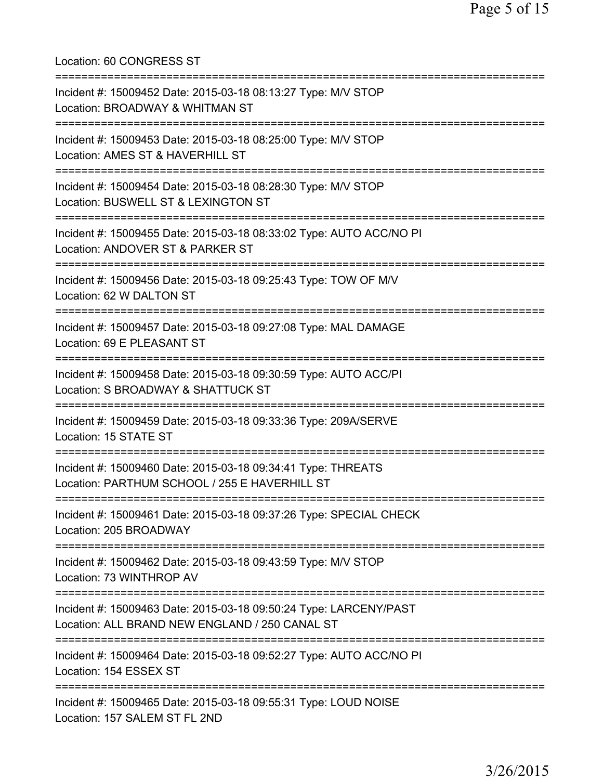Location: 60 CONGRESS ST =========================================================================== Incident #: 15009452 Date: 2015-03-18 08:13:27 Type: M/V STOP Location: BROADWAY & WHITMAN ST =========================================================================== Incident #: 15009453 Date: 2015-03-18 08:25:00 Type: M/V STOP Location: AMES ST & HAVERHILL ST =========================================================================== Incident #: 15009454 Date: 2015-03-18 08:28:30 Type: M/V STOP Location: BUSWELL ST & LEXINGTON ST =========================================================================== Incident #: 15009455 Date: 2015-03-18 08:33:02 Type: AUTO ACC/NO PI Location: ANDOVER ST & PARKER ST =========================================================================== Incident #: 15009456 Date: 2015-03-18 09:25:43 Type: TOW OF M/V Location: 62 W DALTON ST =========================================================================== Incident #: 15009457 Date: 2015-03-18 09:27:08 Type: MAL DAMAGE Location: 69 E PLEASANT ST =========================================================================== Incident #: 15009458 Date: 2015-03-18 09:30:59 Type: AUTO ACC/PI Location: S BROADWAY & SHATTUCK ST =========================================================================== Incident #: 15009459 Date: 2015-03-18 09:33:36 Type: 209A/SERVE Location: 15 STATE ST =========================================================================== Incident #: 15009460 Date: 2015-03-18 09:34:41 Type: THREATS Location: PARTHUM SCHOOL / 255 E HAVERHILL ST =========================================================================== Incident #: 15009461 Date: 2015-03-18 09:37:26 Type: SPECIAL CHECK Location: 205 BROADWAY =========================================================================== Incident #: 15009462 Date: 2015-03-18 09:43:59 Type: M/V STOP Location: 73 WINTHROP AV =========================================================================== Incident #: 15009463 Date: 2015-03-18 09:50:24 Type: LARCENY/PAST Location: ALL BRAND NEW ENGLAND / 250 CANAL ST =========================================================================== Incident #: 15009464 Date: 2015-03-18 09:52:27 Type: AUTO ACC/NO PI Location: 154 ESSEX ST =========================================================================== Incident #: 15009465 Date: 2015-03-18 09:55:31 Type: LOUD NOISE Location: 157 SALEM ST FL 2ND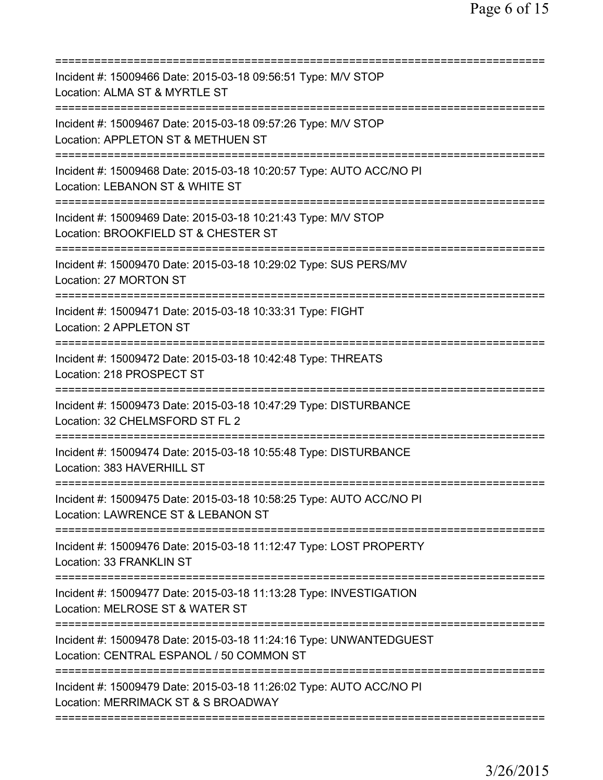| Incident #: 15009466 Date: 2015-03-18 09:56:51 Type: M/V STOP<br>Location: ALMA ST & MYRTLE ST                                                                                                 |
|------------------------------------------------------------------------------------------------------------------------------------------------------------------------------------------------|
| Incident #: 15009467 Date: 2015-03-18 09:57:26 Type: M/V STOP<br>Location: APPLETON ST & METHUEN ST                                                                                            |
| Incident #: 15009468 Date: 2015-03-18 10:20:57 Type: AUTO ACC/NO PI<br>Location: LEBANON ST & WHITE ST                                                                                         |
| Incident #: 15009469 Date: 2015-03-18 10:21:43 Type: M/V STOP<br>Location: BROOKFIELD ST & CHESTER ST                                                                                          |
| Incident #: 15009470 Date: 2015-03-18 10:29:02 Type: SUS PERS/MV<br>Location: 27 MORTON ST                                                                                                     |
| Incident #: 15009471 Date: 2015-03-18 10:33:31 Type: FIGHT<br>Location: 2 APPLETON ST                                                                                                          |
| Incident #: 15009472 Date: 2015-03-18 10:42:48 Type: THREATS<br>Location: 218 PROSPECT ST                                                                                                      |
| Incident #: 15009473 Date: 2015-03-18 10:47:29 Type: DISTURBANCE<br>Location: 32 CHELMSFORD ST FL 2<br>==========                                                                              |
| Incident #: 15009474 Date: 2015-03-18 10:55:48 Type: DISTURBANCE<br>Location: 383 HAVERHILL ST                                                                                                 |
| Incident #: 15009475 Date: 2015-03-18 10:58:25 Type: AUTO ACC/NO PI<br>Location: LAWRENCE ST & LEBANON ST                                                                                      |
| Incident #: 15009476 Date: 2015-03-18 11:12:47 Type: LOST PROPERTY<br>Location: 33 FRANKLIN ST                                                                                                 |
| Incident #: 15009477 Date: 2015-03-18 11:13:28 Type: INVESTIGATION<br>Location: MELROSE ST & WATER ST<br>=============================<br>==============================<br>------------------ |
| Incident #: 15009478 Date: 2015-03-18 11:24:16 Type: UNWANTEDGUEST<br>Location: CENTRAL ESPANOL / 50 COMMON ST                                                                                 |
| Incident #: 15009479 Date: 2015-03-18 11:26:02 Type: AUTO ACC/NO PI<br>Location: MERRIMACK ST & S BROADWAY                                                                                     |
|                                                                                                                                                                                                |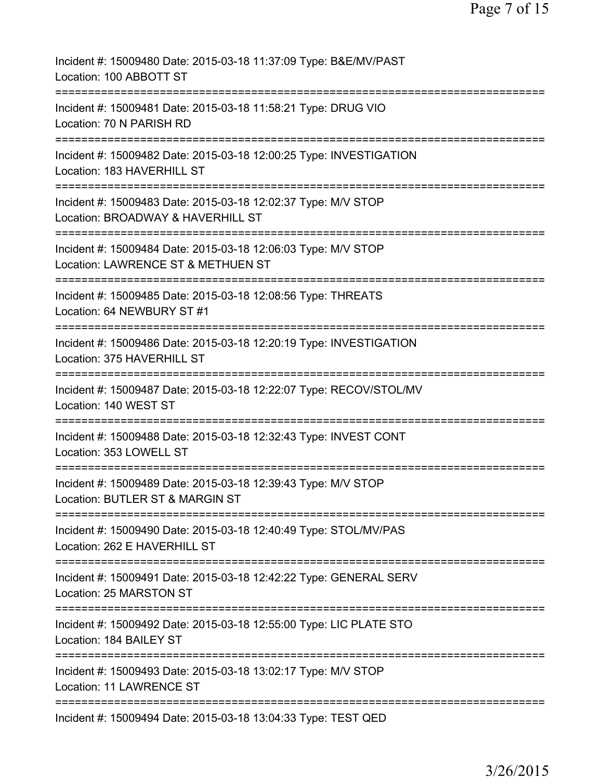| Incident #: 15009480 Date: 2015-03-18 11:37:09 Type: B&E/MV/PAST<br>Location: 100 ABBOTT ST                                |
|----------------------------------------------------------------------------------------------------------------------------|
| Incident #: 15009481 Date: 2015-03-18 11:58:21 Type: DRUG VIO<br>Location: 70 N PARISH RD                                  |
| Incident #: 15009482 Date: 2015-03-18 12:00:25 Type: INVESTIGATION<br>Location: 183 HAVERHILL ST                           |
| Incident #: 15009483 Date: 2015-03-18 12:02:37 Type: M/V STOP<br>Location: BROADWAY & HAVERHILL ST                         |
| Incident #: 15009484 Date: 2015-03-18 12:06:03 Type: M/V STOP<br>Location: LAWRENCE ST & METHUEN ST                        |
| Incident #: 15009485 Date: 2015-03-18 12:08:56 Type: THREATS<br>Location: 64 NEWBURY ST #1                                 |
| Incident #: 15009486 Date: 2015-03-18 12:20:19 Type: INVESTIGATION<br>Location: 375 HAVERHILL ST                           |
| Incident #: 15009487 Date: 2015-03-18 12:22:07 Type: RECOV/STOL/MV<br>Location: 140 WEST ST                                |
| Incident #: 15009488 Date: 2015-03-18 12:32:43 Type: INVEST CONT<br>Location: 353 LOWELL ST                                |
| Incident #: 15009489 Date: 2015-03-18 12:39:43 Type: M/V STOP<br>Location: BUTLER ST & MARGIN ST                           |
| Incident #: 15009490 Date: 2015-03-18 12:40:49 Type: STOL/MV/PAS<br>Location: 262 E HAVERHILL ST                           |
| Incident #: 15009491 Date: 2015-03-18 12:42:22 Type: GENERAL SERV<br>Location: 25 MARSTON ST                               |
| Incident #: 15009492 Date: 2015-03-18 12:55:00 Type: LIC PLATE STO<br>Location: 184 BAILEY ST                              |
| =============================<br>Incident #: 15009493 Date: 2015-03-18 13:02:17 Type: M/V STOP<br>Location: 11 LAWRENCE ST |
| Incident #: 15009494 Date: 2015-03-18 13:04:33 Type: TEST QED                                                              |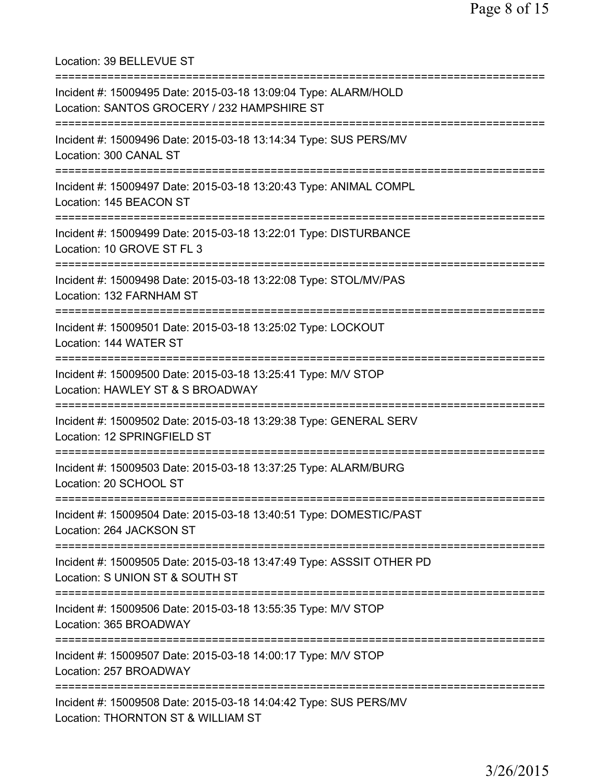Location: 39 BELLEVUE ST =========================================================================== Incident #: 15009495 Date: 2015-03-18 13:09:04 Type: ALARM/HOLD Location: SANTOS GROCERY / 232 HAMPSHIRE ST =========================================================================== Incident #: 15009496 Date: 2015-03-18 13:14:34 Type: SUS PERS/MV Location: 300 CANAL ST =========================================================================== Incident #: 15009497 Date: 2015-03-18 13:20:43 Type: ANIMAL COMPL Location: 145 BEACON ST =========================================================================== Incident #: 15009499 Date: 2015-03-18 13:22:01 Type: DISTURBANCE Location: 10 GROVE ST FL 3 =========================================================================== Incident #: 15009498 Date: 2015-03-18 13:22:08 Type: STOL/MV/PAS Location: 132 FARNHAM ST =========================================================================== Incident #: 15009501 Date: 2015-03-18 13:25:02 Type: LOCKOUT Location: 144 WATER ST =========================================================================== Incident #: 15009500 Date: 2015-03-18 13:25:41 Type: M/V STOP Location: HAWLEY ST & S BROADWAY =========================================================================== Incident #: 15009502 Date: 2015-03-18 13:29:38 Type: GENERAL SERV Location: 12 SPRINGFIELD ST =========================================================================== Incident #: 15009503 Date: 2015-03-18 13:37:25 Type: ALARM/BURG Location: 20 SCHOOL ST =========================================================================== Incident #: 15009504 Date: 2015-03-18 13:40:51 Type: DOMESTIC/PAST Location: 264 JACKSON ST =========================================================================== Incident #: 15009505 Date: 2015-03-18 13:47:49 Type: ASSSIT OTHER PD Location: S UNION ST & SOUTH ST =========================================================================== Incident #: 15009506 Date: 2015-03-18 13:55:35 Type: M/V STOP Location: 365 BROADWAY =========================================================================== Incident #: 15009507 Date: 2015-03-18 14:00:17 Type: M/V STOP Location: 257 BROADWAY =========================================================================== Incident #: 15009508 Date: 2015-03-18 14:04:42 Type: SUS PERS/MV Location: THORNTON ST & WILLIAM ST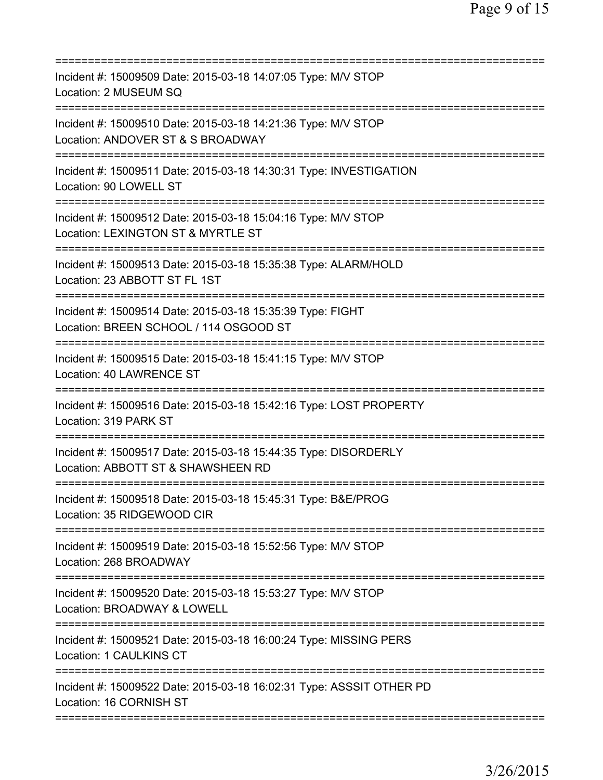| Incident #: 15009509 Date: 2015-03-18 14:07:05 Type: M/V STOP<br>Location: 2 MUSEUM SQ                         |
|----------------------------------------------------------------------------------------------------------------|
| Incident #: 15009510 Date: 2015-03-18 14:21:36 Type: M/V STOP<br>Location: ANDOVER ST & S BROADWAY             |
| Incident #: 15009511 Date: 2015-03-18 14:30:31 Type: INVESTIGATION<br>Location: 90 LOWELL ST                   |
| Incident #: 15009512 Date: 2015-03-18 15:04:16 Type: M/V STOP<br>Location: LEXINGTON ST & MYRTLE ST            |
| Incident #: 15009513 Date: 2015-03-18 15:35:38 Type: ALARM/HOLD<br>Location: 23 ABBOTT ST FL 1ST               |
| Incident #: 15009514 Date: 2015-03-18 15:35:39 Type: FIGHT<br>Location: BREEN SCHOOL / 114 OSGOOD ST           |
| Incident #: 15009515 Date: 2015-03-18 15:41:15 Type: M/V STOP<br>Location: 40 LAWRENCE ST                      |
| Incident #: 15009516 Date: 2015-03-18 15:42:16 Type: LOST PROPERTY<br>Location: 319 PARK ST<br>=============== |
| Incident #: 15009517 Date: 2015-03-18 15:44:35 Type: DISORDERLY<br>Location: ABBOTT ST & SHAWSHEEN RD          |
| Incident #: 15009518 Date: 2015-03-18 15:45:31 Type: B&E/PROG<br>Location: 35 RIDGEWOOD CIR                    |
| Incident #: 15009519 Date: 2015-03-18 15:52:56 Type: M/V STOP<br>Location: 268 BROADWAY                        |
| Incident #: 15009520 Date: 2015-03-18 15:53:27 Type: M/V STOP<br>Location: BROADWAY & LOWELL                   |
| Incident #: 15009521 Date: 2015-03-18 16:00:24 Type: MISSING PERS<br>Location: 1 CAULKINS CT                   |
| Incident #: 15009522 Date: 2015-03-18 16:02:31 Type: ASSSIT OTHER PD<br>Location: 16 CORNISH ST                |
|                                                                                                                |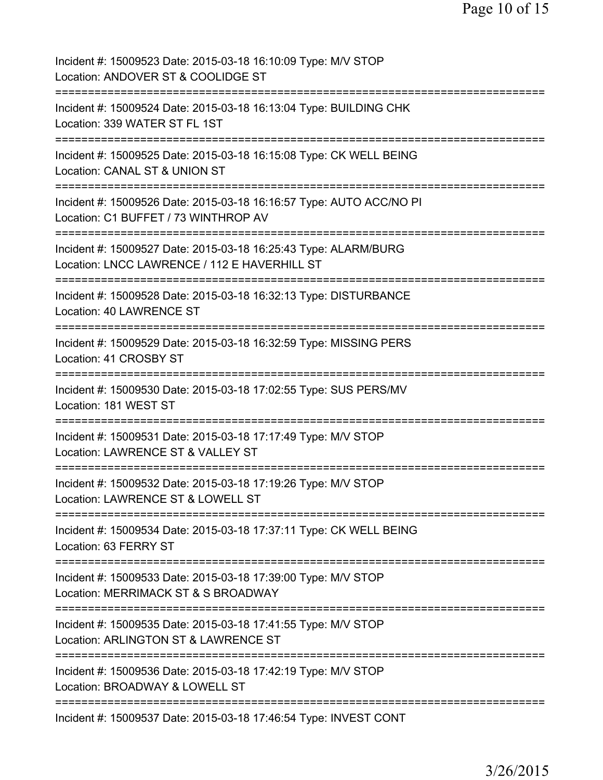| Incident #: 15009523 Date: 2015-03-18 16:10:09 Type: M/V STOP<br>Location: ANDOVER ST & COOLIDGE ST                                                        |
|------------------------------------------------------------------------------------------------------------------------------------------------------------|
| Incident #: 15009524 Date: 2015-03-18 16:13:04 Type: BUILDING CHK<br>Location: 339 WATER ST FL 1ST                                                         |
| Incident #: 15009525 Date: 2015-03-18 16:15:08 Type: CK WELL BEING<br>Location: CANAL ST & UNION ST                                                        |
| Incident #: 15009526 Date: 2015-03-18 16:16:57 Type: AUTO ACC/NO PI<br>Location: C1 BUFFET / 73 WINTHROP AV<br>======================<br>:================ |
| Incident #: 15009527 Date: 2015-03-18 16:25:43 Type: ALARM/BURG<br>Location: LNCC LAWRENCE / 112 E HAVERHILL ST                                            |
| Incident #: 15009528 Date: 2015-03-18 16:32:13 Type: DISTURBANCE<br>Location: 40 LAWRENCE ST<br>:===============================                           |
| Incident #: 15009529 Date: 2015-03-18 16:32:59 Type: MISSING PERS<br>Location: 41 CROSBY ST                                                                |
| Incident #: 15009530 Date: 2015-03-18 17:02:55 Type: SUS PERS/MV<br>Location: 181 WEST ST<br>=============================                                 |
| Incident #: 15009531 Date: 2015-03-18 17:17:49 Type: M/V STOP<br>Location: LAWRENCE ST & VALLEY ST                                                         |
| Incident #: 15009532 Date: 2015-03-18 17:19:26 Type: M/V STOP<br>Location: LAWRENCE ST & LOWELL ST                                                         |
| Incident #: 15009534 Date: 2015-03-18 17:37:11 Type: CK WELL BEING<br>Location: 63 FERRY ST                                                                |
| Incident #: 15009533 Date: 2015-03-18 17:39:00 Type: M/V STOP<br>Location: MERRIMACK ST & S BROADWAY                                                       |
| Incident #: 15009535 Date: 2015-03-18 17:41:55 Type: M/V STOP<br>Location: ARLINGTON ST & LAWRENCE ST                                                      |
| Incident #: 15009536 Date: 2015-03-18 17:42:19 Type: M/V STOP<br>Location: BROADWAY & LOWELL ST                                                            |
| ==========<br>Incident #: 15009537 Date: 2015-03-18 17:46:54 Type: INVEST CONT                                                                             |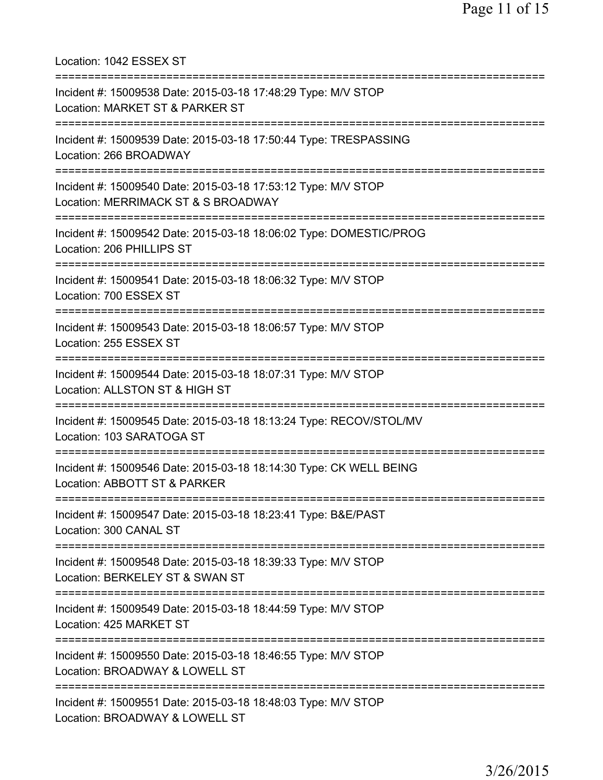Location: 1042 ESSEX ST =========================================================================== Incident #: 15009538 Date: 2015-03-18 17:48:29 Type: M/V STOP Location: MARKET ST & PARKER ST =========================================================================== Incident #: 15009539 Date: 2015-03-18 17:50:44 Type: TRESPASSING Location: 266 BROADWAY =========================================================================== Incident #: 15009540 Date: 2015-03-18 17:53:12 Type: M/V STOP Location: MERRIMACK ST & S BROADWAY =========================================================================== Incident #: 15009542 Date: 2015-03-18 18:06:02 Type: DOMESTIC/PROG Location: 206 PHILLIPS ST =========================================================================== Incident #: 15009541 Date: 2015-03-18 18:06:32 Type: M/V STOP Location: 700 ESSEX ST =========================================================================== Incident #: 15009543 Date: 2015-03-18 18:06:57 Type: M/V STOP Location: 255 ESSEX ST =========================================================================== Incident #: 15009544 Date: 2015-03-18 18:07:31 Type: M/V STOP Location: ALLSTON ST & HIGH ST =========================================================================== Incident #: 15009545 Date: 2015-03-18 18:13:24 Type: RECOV/STOL/MV Location: 103 SARATOGA ST =========================================================================== Incident #: 15009546 Date: 2015-03-18 18:14:30 Type: CK WELL BEING Location: ABBOTT ST & PARKER =========================================================================== Incident #: 15009547 Date: 2015-03-18 18:23:41 Type: B&E/PAST Location: 300 CANAL ST =========================================================================== Incident #: 15009548 Date: 2015-03-18 18:39:33 Type: M/V STOP Location: BERKELEY ST & SWAN ST =========================================================================== Incident #: 15009549 Date: 2015-03-18 18:44:59 Type: M/V STOP Location: 425 MARKET ST =========================================================================== Incident #: 15009550 Date: 2015-03-18 18:46:55 Type: M/V STOP Location: BROADWAY & LOWELL ST =========================================================================== Incident #: 15009551 Date: 2015-03-18 18:48:03 Type: M/V STOP Location: BROADWAY & LOWELL ST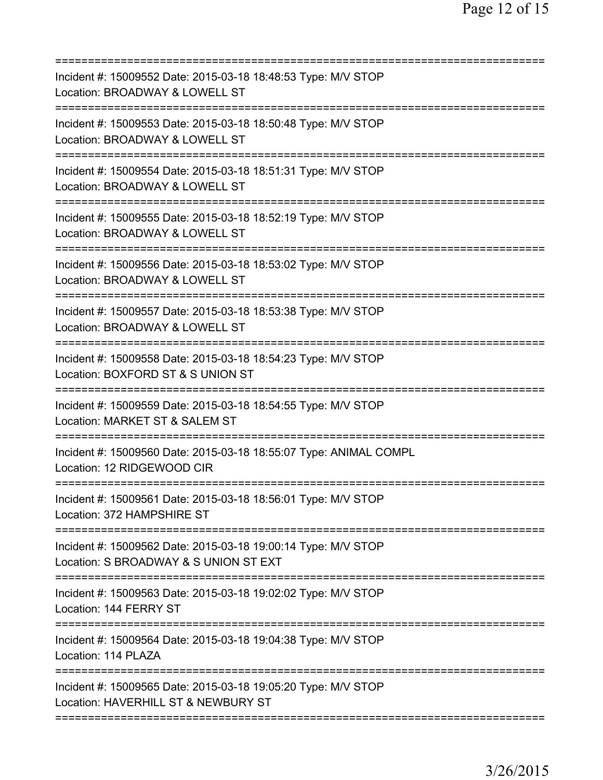| Incident #: 15009552 Date: 2015-03-18 18:48:53 Type: M/V STOP<br>Location: BROADWAY & LOWELL ST                                  |
|----------------------------------------------------------------------------------------------------------------------------------|
| Incident #: 15009553 Date: 2015-03-18 18:50:48 Type: M/V STOP<br>Location: BROADWAY & LOWELL ST                                  |
| Incident #: 15009554 Date: 2015-03-18 18:51:31 Type: M/V STOP<br>Location: BROADWAY & LOWELL ST<br>==================            |
| Incident #: 15009555 Date: 2015-03-18 18:52:19 Type: M/V STOP<br>Location: BROADWAY & LOWELL ST                                  |
| Incident #: 15009556 Date: 2015-03-18 18:53:02 Type: M/V STOP<br>Location: BROADWAY & LOWELL ST                                  |
| Incident #: 15009557 Date: 2015-03-18 18:53:38 Type: M/V STOP<br>Location: BROADWAY & LOWELL ST<br>==========================    |
| Incident #: 15009558 Date: 2015-03-18 18:54:23 Type: M/V STOP<br>Location: BOXFORD ST & S UNION ST<br>========================== |
| Incident #: 15009559 Date: 2015-03-18 18:54:55 Type: M/V STOP<br>Location: MARKET ST & SALEM ST                                  |
| Incident #: 15009560 Date: 2015-03-18 18:55:07 Type: ANIMAL COMPL<br>Location: 12 RIDGEWOOD CIR                                  |
| Incident #: 15009561 Date: 2015-03-18 18:56:01 Type: M/V STOP<br>Location: 372 HAMPSHIRE ST                                      |
| Incident #: 15009562 Date: 2015-03-18 19:00:14 Type: M/V STOP<br>Location: S BROADWAY & S UNION ST EXT                           |
| Incident #: 15009563 Date: 2015-03-18 19:02:02 Type: M/V STOP<br>Location: 144 FERRY ST<br>==========================            |
| Incident #: 15009564 Date: 2015-03-18 19:04:38 Type: M/V STOP<br>Location: 114 PLAZA                                             |
| Incident #: 15009565 Date: 2015-03-18 19:05:20 Type: M/V STOP<br>Location: HAVERHILL ST & NEWBURY ST                             |
|                                                                                                                                  |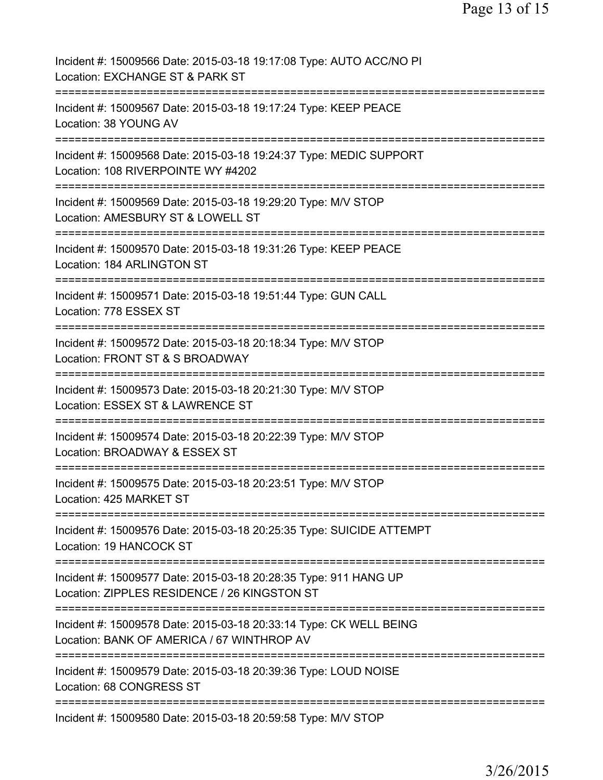Incident #: 15009566 Date: 2015-03-18 19:17:08 Type: AUTO ACC/NO PI Location: EXCHANGE ST & PARK ST =========================================================================== Incident #: 15009567 Date: 2015-03-18 19:17:24 Type: KEEP PEACE Location: 38 YOUNG AV =========================================================================== Incident #: 15009568 Date: 2015-03-18 19:24:37 Type: MEDIC SUPPORT Location: 108 RIVERPOINTE WY #4202 =========================================================================== Incident #: 15009569 Date: 2015-03-18 19:29:20 Type: M/V STOP Location: AMESBURY ST & LOWELL ST =========================================================================== Incident #: 15009570 Date: 2015-03-18 19:31:26 Type: KEEP PEACE Location: 184 ARLINGTON ST =========================================================================== Incident #: 15009571 Date: 2015-03-18 19:51:44 Type: GUN CALL Location: 778 ESSEX ST =========================================================================== Incident #: 15009572 Date: 2015-03-18 20:18:34 Type: M/V STOP Location: FRONT ST & S BROADWAY =========================================================================== Incident #: 15009573 Date: 2015-03-18 20:21:30 Type: M/V STOP Location: ESSEX ST & LAWRENCE ST =========================================================================== Incident #: 15009574 Date: 2015-03-18 20:22:39 Type: M/V STOP Location: BROADWAY & ESSEX ST =========================================================================== Incident #: 15009575 Date: 2015-03-18 20:23:51 Type: M/V STOP Location: 425 MARKET ST =========================================================================== Incident #: 15009576 Date: 2015-03-18 20:25:35 Type: SUICIDE ATTEMPT Location: 19 HANCOCK ST =========================================================================== Incident #: 15009577 Date: 2015-03-18 20:28:35 Type: 911 HANG UP Location: ZIPPLES RESIDENCE / 26 KINGSTON ST =========================================================================== Incident #: 15009578 Date: 2015-03-18 20:33:14 Type: CK WELL BEING Location: BANK OF AMERICA / 67 WINTHROP AV =========================================================================== Incident #: 15009579 Date: 2015-03-18 20:39:36 Type: LOUD NOISE Location: 68 CONGRESS ST =========================================================================== Incident #: 15009580 Date: 2015-03-18 20:59:58 Type: M/V STOP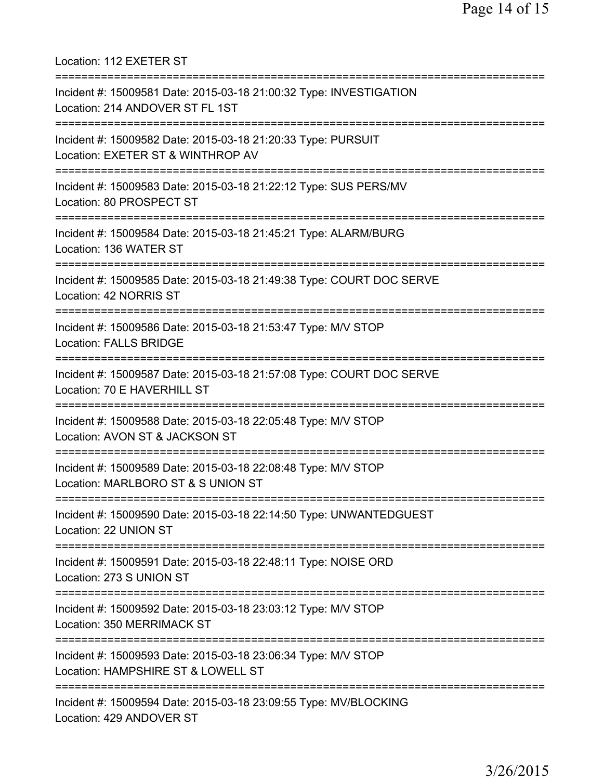Location: 112 EXETER ST =========================================================================== Incident #: 15009581 Date: 2015-03-18 21:00:32 Type: INVESTIGATION Location: 214 ANDOVER ST FL 1ST =========================================================================== Incident #: 15009582 Date: 2015-03-18 21:20:33 Type: PURSUIT Location: EXETER ST & WINTHROP AV =========================================================================== Incident #: 15009583 Date: 2015-03-18 21:22:12 Type: SUS PERS/MV Location: 80 PROSPECT ST =========================================================================== Incident #: 15009584 Date: 2015-03-18 21:45:21 Type: ALARM/BURG Location: 136 WATER ST =========================================================================== Incident #: 15009585 Date: 2015-03-18 21:49:38 Type: COURT DOC SERVE Location: 42 NORRIS ST =========================================================================== Incident #: 15009586 Date: 2015-03-18 21:53:47 Type: M/V STOP Location: FALLS BRIDGE =========================================================================== Incident #: 15009587 Date: 2015-03-18 21:57:08 Type: COURT DOC SERVE Location: 70 E HAVERHILL ST =========================================================================== Incident #: 15009588 Date: 2015-03-18 22:05:48 Type: M/V STOP Location: AVON ST & JACKSON ST =========================================================================== Incident #: 15009589 Date: 2015-03-18 22:08:48 Type: M/V STOP Location: MARLBORO ST & S UNION ST =========================================================================== Incident #: 15009590 Date: 2015-03-18 22:14:50 Type: UNWANTEDGUEST Location: 22 UNION ST =========================================================================== Incident #: 15009591 Date: 2015-03-18 22:48:11 Type: NOISE ORD Location: 273 S UNION ST =========================================================================== Incident #: 15009592 Date: 2015-03-18 23:03:12 Type: M/V STOP Location: 350 MERRIMACK ST =========================================================================== Incident #: 15009593 Date: 2015-03-18 23:06:34 Type: M/V STOP Location: HAMPSHIRE ST & LOWELL ST =========================================================================== Incident #: 15009594 Date: 2015-03-18 23:09:55 Type: MV/BLOCKING Location: 429 ANDOVER ST